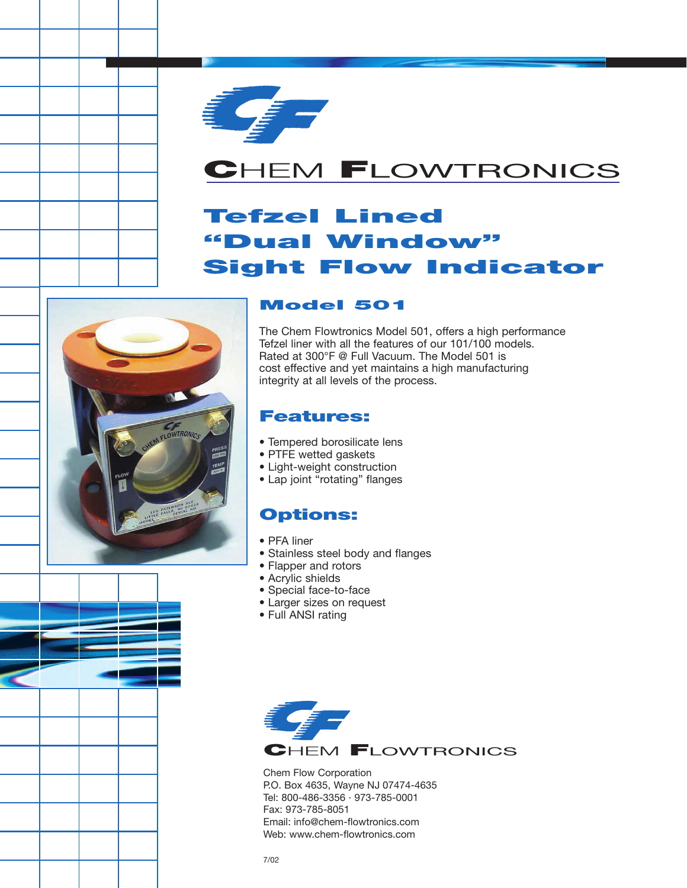

# **C**HEM **F**LOWTRONICS

# **Tefzel Lined "Dual Window" Sight Flow Indicator**



#### **Model 501**

The Chem Flowtronics Model 501, offers a high performance Tefzel liner with all the features of our 101/100 models. Rated at 300°F @ Full Vacuum. The Model 501 is cost effective and yet maintains a high manufacturing integrity at all levels of the process.

#### **Features:**

- Tempered borosilicate lens
- PTFE wetted gaskets
- Light-weight construction
- Lap joint "rotating" flanges

### **Options:**

- PFA liner
- Stainless steel body and flanges
- Flapper and rotors
- Acrylic shields
- Special face-to-face
- Larger sizes on request
- Full ANSI rating



Chem Flow Corporation P.O. Box 4635, Wayne NJ 07474-4635 Tel: 800-486-3356 · 973-785-0001 Fax: 973-785-8051 Email: info@chem-flowtronics.com Web: www.chem-flowtronics.com